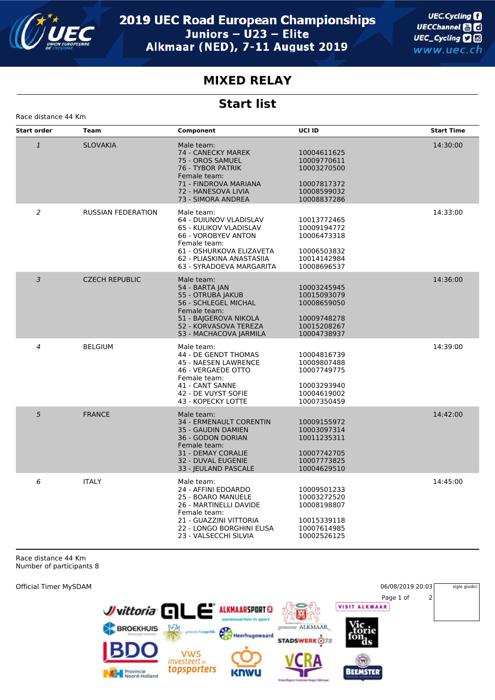

## **MIXED RELAY**

## **Start list**

Race distance 44 Km

| <b>Start order</b> | Team                      | Component                                                                                                                                                                                  | UCI ID                                                                                 | <b>Start Time</b> |
|--------------------|---------------------------|--------------------------------------------------------------------------------------------------------------------------------------------------------------------------------------------|----------------------------------------------------------------------------------------|-------------------|
| $\mathbf{1}$       | <b>SLOVAKIA</b>           | Male team:<br>74 - CANECKY MAREK<br>75 - OROS SAMUEL<br>76 - TYBOR PATRIK<br>Female team:<br>71 - FINDROVA MARIANA<br>72 - HANESOVA LIVIA<br>73 - SIMORA ANDREA                            | 10004611625<br>10009770611<br>10003270500<br>10007817372<br>10008599032<br>10008837286 | 14:30:00          |
| 2                  | <b>RUSSIAN FEDERATION</b> | Male team:<br>64 - DUIUNOV VLADISLAV<br>65 - KULIKOV VLADISLAV<br>66 - VOROBYEV ANTON<br>Female team:<br>61 - OSHURKOVA ELIZAVETA<br>62 - PLIASKINA ANASTASIIA<br>63 - SYRADOEVA MARGARITA | 10013772465<br>10009194772<br>10006473318<br>10006503832<br>10014142984<br>10008696537 | 14:33:00          |
| 3                  | <b>CZECH REPUBLIC</b>     | Male team:<br>54 - BARTA JAN<br>55 - OTRUBA JAKUB<br>56 - SCHLEGEL MICHAL<br>Female team:<br>51 - BAJGEROVA NIKOLA<br>52 - KORVASOVA TEREZA<br>53 - MACHACOVA JARMILA                      | 10003245945<br>10015093079<br>10008659050<br>10009748278<br>10015208267<br>10004738937 | 14:36:00          |
| 4                  | <b>BELGIUM</b>            | Male team:<br>44 - DE GENDT THOMAS<br>45 - NAESEN LAWRENCE<br>46 - VERGAEDE OTTO<br>Female team:<br>41 - CANT SANNE<br>42 - DE VUYST SOFIE<br>43 - KOPECKY LOTTE                           | 10004816739<br>10009807488<br>10007749775<br>10003293940<br>10004619002<br>10007350459 | 14:39:00          |
| 5                  | <b>FRANCE</b>             | Male team:<br>34 - ERMENAULT CORENTIN<br>35 - GAUDIN DAMIEN<br>36 - GODON DORIAN<br>Female team:<br>31 - DEMAY CORALIE<br>32 - DUVAL EUGENIE<br>33 - JEULAND PASCALE                       | 10009155972<br>10003097314<br>10011235311<br>10007742705<br>10007773825<br>10004629510 | 14:42:00          |
| 6                  | <b>ITALY</b>              | Male team:<br>24 - AFFINI EDOARDO<br>25 - BOARO MANUELE<br>26 - MARTINELLI DAVIDE<br>Female team:<br>21 - GUAZZINI VITTORIA<br>22 - LONGO BORGHINI ELISA<br>23 - VALSECCHI SILVIA          | 10009501233<br>10003272520<br>10008198807<br>10015339118<br>10007614985<br>10002526125 | 14:45:00          |

Race distance 44 Km Number of participants 8